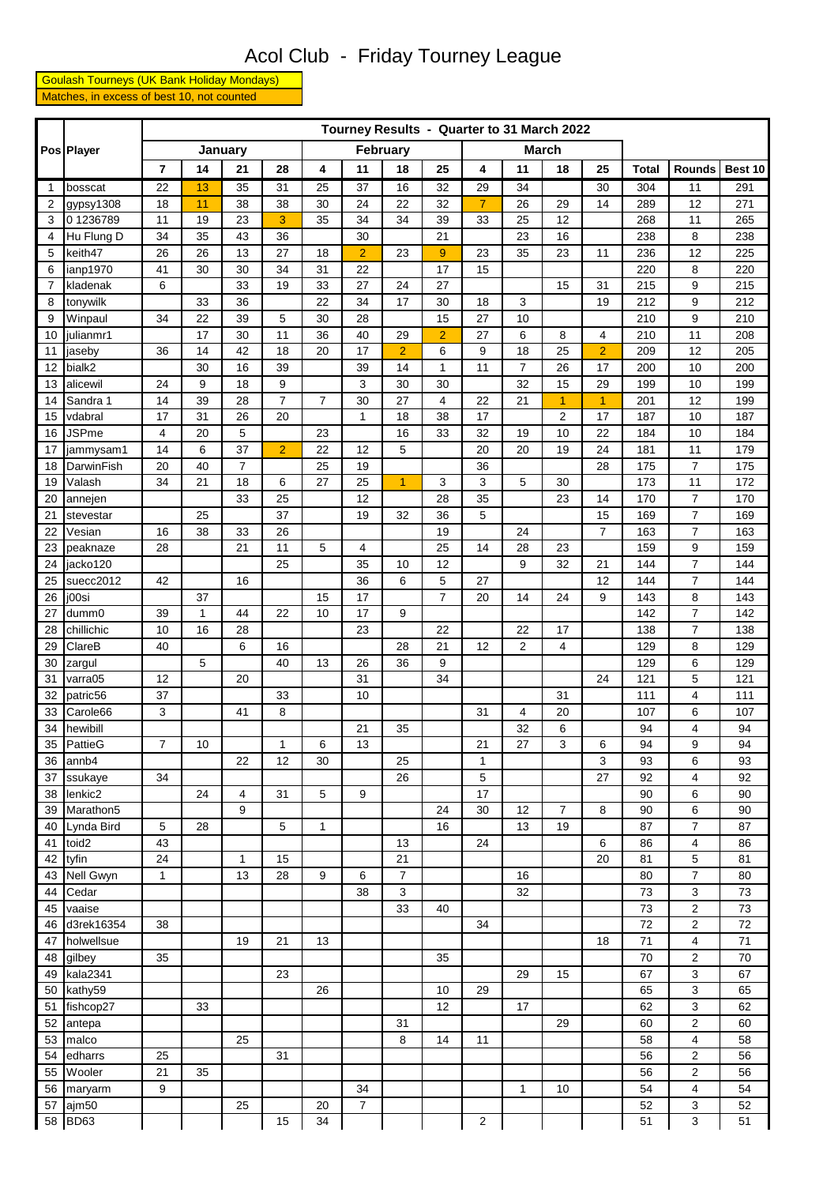## Acol Club - Friday Tourney League

 Goulash Tourneys (UK Bank Holiday Mondays) Matches, in excess of best 10, not counted

|              | Pos Player           | Tourney Results - Quarter to 31 March 2022 |         |                |                |                 |                |                |                |                         |                |                |                |              |                |            |
|--------------|----------------------|--------------------------------------------|---------|----------------|----------------|-----------------|----------------|----------------|----------------|-------------------------|----------------|----------------|----------------|--------------|----------------|------------|
|              |                      |                                            |         | January        |                | <b>February</b> |                |                |                |                         |                | <b>March</b>   |                |              |                |            |
|              |                      | $\overline{7}$                             | 14      | 21             | 28             | 4               | 11             | 18             | 25             | 4                       | 11             | 18             | 25             | <b>Total</b> | <b>Rounds</b>  | Best 10    |
| $\mathbf{1}$ | bosscat              | 22                                         | 13      | 35             | 31             | 25              | 37             | 16             | 32             | 29                      | 34             |                | 30             | 304          | 11             | 291        |
| 2            | gypsy1308            | 18                                         | 11      | 38             | 38             | 30              | 24             | 22             | 32             | $\overline{7}$          | 26             | 29             | 14             | 289          | 12             | 271        |
| 3            | 01236789             | 11                                         | 19      | 23             | 3              | 35              | 34             | 34             | 39             | 33                      | 25             | 12             |                | 268          | 11             | 265        |
| 4            | Hu Flung D           | 34                                         | 35      | 43             | 36             |                 | 30             |                | 21             |                         | 23             | 16             |                | 238          | 8              | 238        |
| 5            | keith47              | 26                                         | 26      | 13             | 27             | 18              | $\overline{2}$ | 23             | 9              | 23                      | 35             | 23             | 11             | 236          | 12             | 225        |
| 6            | ianp1970             | 41                                         | 30      | 30             | 34             | 31              | 22             |                | 17             | 15                      |                |                |                | 220          | 8              | 220        |
| 7            | kladenak             | 6                                          |         | 33             | 19             | 33              | 27             | 24             | 27             |                         |                | 15             | 31             | 215          | 9              | 215        |
| 8            | tonywilk             |                                            | 33      | 36             |                | 22              | 34             | 17             | 30             | 18                      | 3              |                | 19             | 212          | 9              | 212        |
| 9            | Winpaul              | 34                                         | 22      | 39             | 5              | 30              | 28             |                | 15             | 27                      | 10             |                |                | 210          | 9              | 210        |
| 10           | julianmr1            |                                            | 17      | 30             | 11             | 36              | 40             | 29             | $\overline{2}$ | 27                      | 6              | 8              | 4              | 210          | 11             | 208        |
| 11           | jaseby               | 36                                         | 14      | 42             | 18             | 20              | 17             | $\overline{2}$ | 6              | 9                       | 18             | 25             | $\overline{2}$ | 209          | 12             | 205        |
| 12           | bialk2               |                                            | 30      | 16             | 39             |                 | 39             | 14             | $\mathbf{1}$   | 11                      | 7              | 26             | 17             | 200          | 10             | 200        |
| 13           | alicewil             | 24                                         | 9       | 18             | 9              |                 | 3              | 30             | 30             |                         | 32             | 15             | 29             | 199          | 10             | 199        |
| 14           | Sandra 1             | 14                                         | 39      | 28             | $\overline{7}$ | $\overline{7}$  | 30             | 27             | 4              | 22                      | 21             | $\overline{1}$ | $\overline{1}$ | 201          | 12             | 199        |
| 15           | vdabral              | 17                                         | 31      | 26             | 20             |                 | $\mathbf{1}$   | 18             | 38             | 17                      |                | $\overline{2}$ | 17             | 187          | 10             | 187        |
| 16           | <b>JSPme</b>         | 4                                          | 20      | 5              |                | 23              |                | 16             | 33             | 32                      | 19             | 10             | 22             | 184          | 10             | 184        |
| 17           | jammysam1            | 14                                         | 6       | 37             | $\overline{2}$ | 22              | 12             | 5              |                | 20                      | 20             | 19             | 24             | 181          | 11             | 179        |
| 18           | DarwinFish           | 20                                         | 40      | $\overline{7}$ |                | 25              | 19             |                |                | 36                      |                |                | 28             | 175          | $\overline{7}$ | 175        |
| 19           | Valash               | 34                                         | 21      | 18             | 6              | 27              | 25             | $\overline{1}$ | 3              | 3                       | 5              | 30             |                | 173          | 11             | 172        |
| 20           | annejen              |                                            |         | 33             | 25             |                 | 12             |                | 28             | 35                      |                | 23             | 14             | 170          | 7              | 170        |
| 21           | stevestar            |                                            | 25      |                | 37             |                 | 19             | 32             | 36             | 5                       |                |                | 15             | 169          | 7              | 169        |
| 22           | Vesian               | 16                                         | 38      | 33             | 26             |                 |                |                | 19             |                         | 24             |                | $\overline{7}$ | 163          | $\overline{7}$ | 163        |
| 23           | peaknaze             | 28                                         |         | 21             | 11             | 5               | 4              |                | 25             | 14                      | 28             | 23             |                | 159          | 9              | 159        |
| 24           | jacko120             |                                            |         |                | 25             |                 | 35             | 10             | 12             |                         | 9              | 32             | 21             | 144          | 7              | 144        |
| 25           | suecc2012            | 42                                         |         | 16             |                |                 | 36             | 6              | 5              | 27                      |                |                | 12             | 144          | 7              | 144        |
| 26           | j00si                |                                            | 37      |                |                | 15              | 17             |                | 7              | 20                      | 14             | 24             | 9              | 143          | 8              | 143        |
| 27           | dumm0                | 39                                         | 1<br>16 | 44<br>28       | 22             | 10              | 17<br>23       | 9              | 22             |                         | 22             | 17             |                | 142          | 7<br>7         | 142        |
| 28<br>29     | chillichic<br>ClareB | 10<br>40                                   |         | 6              | 16             |                 |                | 28             | 21             | 12                      | $\overline{2}$ | 4              |                | 138<br>129   | 8              | 138<br>129 |
| 30           | zargul               |                                            | 5       |                | 40             | 13              | 26             | 36             | 9              |                         |                |                |                | 129          | 6              | 129        |
| 31           | varra05              | 12                                         |         | 20             |                |                 | 31             |                | 34             |                         |                |                | 24             | 121          | 5              | 121        |
| 32           | patric56             | 37                                         |         |                | 33             |                 | 10             |                |                |                         |                | 31             |                | 111          | $\overline{4}$ | 111        |
| 33           | Carole66             | 3                                          |         | 41             | 8              |                 |                |                |                | 31                      | 4              | 20             |                | 107          | 6              | 107        |
| 34           | hewibill             |                                            |         |                |                |                 | 21             | 35             |                |                         | 32             | 6              |                | 94           | 4              | 94         |
| 35           | PattieG              | $\overline{7}$                             | 10      |                | 1              | 6               | 13             |                |                | 21                      | 27             | 3              | 6              | 94           | 9              | 94         |
|              | 36 annb4             |                                            |         | 22             | 12             | 30              |                | 25             |                | 1                       |                |                | 3              | 93           | 6              | 93         |
| 37           | ssukaye              | 34                                         |         |                |                |                 |                | 26             |                | 5                       |                |                | 27             | 92           | 4              | 92         |
| 38           | lenkic2              |                                            | 24      | 4              | 31             | 5               | 9              |                |                | 17                      |                |                |                | 90           | 6              | 90         |
| 39           | Marathon5            |                                            |         | 9              |                |                 |                |                | 24             | 30                      | 12             | $\overline{7}$ | 8              | 90           | 6              | 90         |
| 40           | Lynda Bird           | 5                                          | 28      |                | 5              | 1               |                |                | 16             |                         | 13             | 19             |                | 87           | 7              | 87         |
| 41           | toid2                | 43                                         |         |                |                |                 |                | 13             |                | 24                      |                |                | 6              | 86           | 4              | 86         |
| 42           | tyfin                | 24                                         |         | 1              | 15             |                 |                | 21             |                |                         |                |                | 20             | 81           | 5              | 81         |
| 43           | Nell Gwyn            | $\mathbf{1}$                               |         | 13             | 28             | 9               | 6              | $\overline{7}$ |                |                         | 16             |                |                | 80           | 7              | 80         |
| 44           | Cedar                |                                            |         |                |                |                 | 38             | 3              |                |                         | 32             |                |                | 73           | 3              | 73         |
| 45           | vaaise               |                                            |         |                |                |                 |                | 33             | 40             |                         |                |                |                | 73           | 2              | 73         |
| 46           | d3rek16354           | 38                                         |         |                |                |                 |                |                |                | 34                      |                |                |                | 72           | 2              | 72         |
| 47           | holwellsue           |                                            |         | 19             | 21             | 13              |                |                |                |                         |                |                | 18             | 71           | 4              | 71         |
| 48           | gilbey               | 35                                         |         |                |                |                 |                |                | 35             |                         |                |                |                | 70           | 2              | 70         |
| 49           | kala2341             |                                            |         |                | 23             |                 |                |                |                |                         | 29             | 15             |                | 67           | 3              | 67         |
| 50           | kathy59              |                                            |         |                |                | 26              |                |                | 10             | 29                      |                |                |                | 65           | 3              | 65         |
| 51           | fishcop27            |                                            | 33      |                |                |                 |                |                | 12             |                         | 17             |                |                | 62           | 3              | 62         |
| 52           | antepa               |                                            |         |                |                |                 |                | 31             |                |                         |                | 29             |                | 60           | 2              | 60         |
| 53           | malco                |                                            |         | 25             |                |                 |                | 8              | 14             | 11                      |                |                |                | 58           | 4              | 58         |
| 54           | edharrs              | 25                                         |         |                | 31             |                 |                |                |                |                         |                |                |                | 56           | 2              | 56         |
| 55           | Wooler               | 21                                         | 35      |                |                |                 |                |                |                |                         |                |                |                | 56           | 2              | 56         |
| 56           | maryarm              | 9                                          |         |                |                |                 | 34             |                |                |                         | 1              | 10             |                | 54           | 4              | 54         |
| 57           | ajm50                |                                            |         | 25             |                | 20              | $\overline{7}$ |                |                |                         |                |                |                | 52           | 3              | 52         |
|              | 58 BD63              |                                            |         |                | 15             | 34              |                |                |                | $\overline{\mathbf{c}}$ |                |                |                | 51           | 3              | 51         |